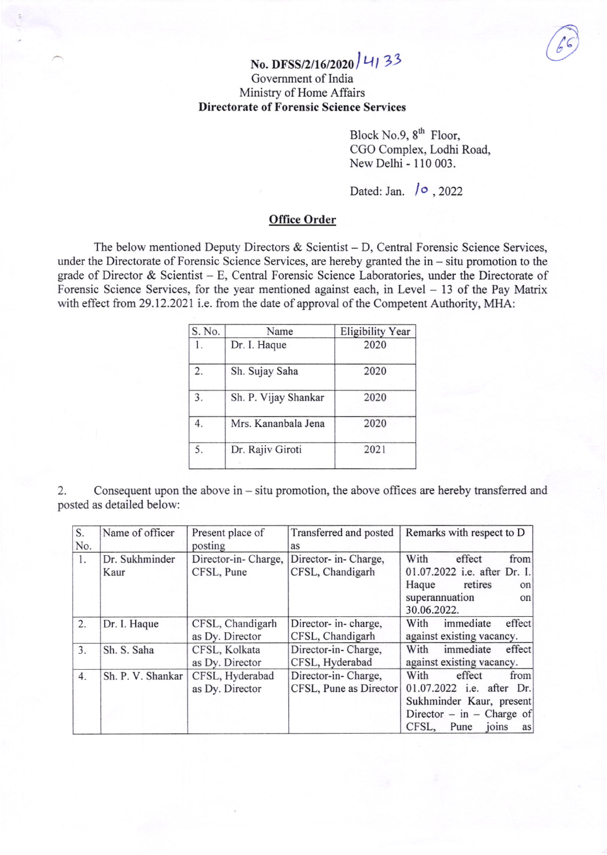# $(66)$

# No. DFSS/2/16/2020  $|4133$ Govemment of India Ministry of Home Affairs Directorate of Forensic Science Services

Block No.9,  $8^{th}$  Floor, CGO Complex, Lodhi Road, New Delhi - 110 003.

Dated: Jan.  $\sqrt{9}$ , 2022

## Office Order

The below mentioned Deputy Directors & Scientist – D, Central Forensic Science Services, under the Directorate of Forensic Science Services, are hereby granted the  $in -$  situ promotion to the grade of Director & Scientist - E, Central Forensic Science Laboratories, under the Directorate of Forensic Science Services, for the year mentioned against each, in Level - 13 of the Pay Matrix with effect from 29.12.2021 i.e. from the date of approval of the Competent Authority, MHA:

| S. No. | Name                 | <b>Eligibility Year</b> |
|--------|----------------------|-------------------------|
| 1.     | Dr. I. Haque         | 2020                    |
| 2.     | Sh. Sujay Saha       | 2020                    |
| 3.     | Sh. P. Vijay Shankar | 2020                    |
| 4.     | Mrs. Kananbala Jena  | 2020                    |
| 5.     | Dr. Rajiv Giroti     | 2021                    |
|        |                      |                         |

2. Consequent upon the above in - situ promotion, the above offices are hereby transferred and posted as detailed below:

| S.  | Name of officer   | Present place of    | Transferred and posted | Remarks with respect to D    |
|-----|-------------------|---------------------|------------------------|------------------------------|
| No. |                   | posting             | as                     |                              |
| 1.  | Dr. Sukhminder    | Director-in-Charge, | Director- in- Charge,  | With<br>effect<br>from       |
|     | Kaur              | CFSL, Pune          | CFSL, Chandigarh       | 01.07.2022 i.e. after Dr. I. |
|     |                   |                     |                        | retires<br>Haque<br>on       |
|     |                   |                     |                        | superannuation<br>on         |
|     |                   |                     |                        | 30.06.2022.                  |
| 2.  | Dr. I. Haque      | CFSL, Chandigarh    | Director- in-charge,   | effect<br>immediate<br>With  |
|     |                   | as Dy. Director     | CFSL, Chandigarh       | against existing vacancy.    |
| 3.  | Sh. S. Saha       | CFSL, Kolkata       | Director-in-Charge,    | immediate<br>effect<br>With  |
|     |                   | as Dy. Director     | CFSL, Hyderabad        | against existing vacancy.    |
| 4.  | Sh. P. V. Shankar | CFSL, Hyderabad     | Director-in-Charge,    | With<br>effect<br>from       |
|     |                   | as Dy. Director     | CFSL, Pune as Director | 01.07.2022 i.e. after Dr.    |
|     |                   |                     |                        | Sukhminder Kaur, present     |
|     |                   |                     |                        | Director – in – Charge of    |
|     |                   |                     |                        | CFSL,<br>joins<br>Pune<br>as |